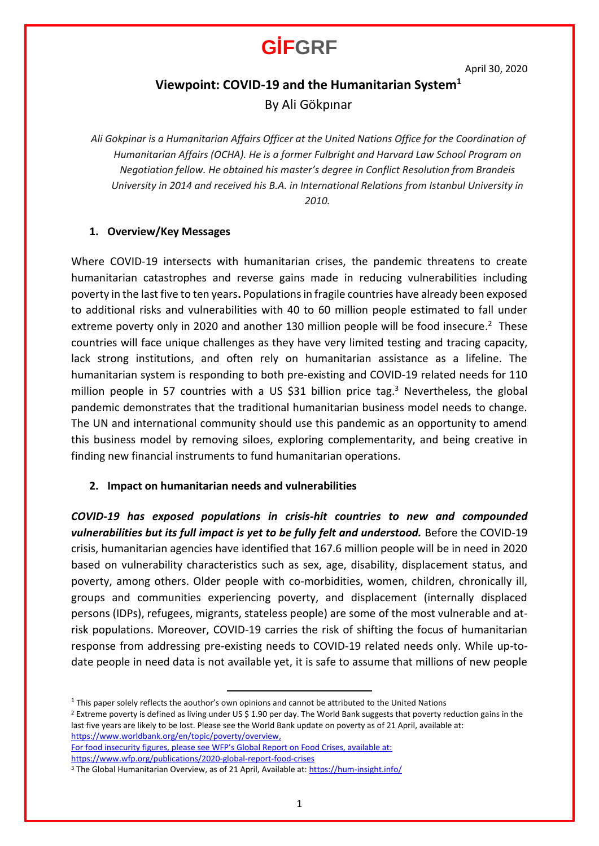April 30, 2020

### **Viewpoint: COVID-19 and the Humanitarian System<sup>1</sup>**

By Ali Gökpınar

*Ali Gokpinar is a Humanitarian Affairs Officer at the United Nations Office for the Coordination of Humanitarian Affairs (OCHA). He is a former Fulbright and Harvard Law School Program on Negotiation fellow. He obtained his master's degree in Conflict Resolution from Brandeis University in 2014 and received his B.A. in International Relations from Istanbul University in 2010.*

#### **1. Overview/Key Messages**

Where COVID-19 intersects with humanitarian crises, the pandemic threatens to create humanitarian catastrophes and reverse gains made in reducing vulnerabilities including poverty in the last five to ten years**.** Populations in fragile countries have already been exposed to additional risks and vulnerabilities with 40 to 60 million people estimated to fall under extreme poverty only in 2020 and another 130 million people will be food insecure.<sup>2</sup> These countries will face unique challenges as they have very limited testing and tracing capacity, lack strong institutions, and often rely on humanitarian assistance as a lifeline. The humanitarian system is responding to both pre-existing and COVID-19 related needs for 110 million people in 57 countries with a US \$31 billion price tag.<sup>3</sup> Nevertheless, the global pandemic demonstrates that the traditional humanitarian business model needs to change. The UN and international community should use this pandemic as an opportunity to amend this business model by removing siloes, exploring complementarity, and being creative in finding new financial instruments to fund humanitarian operations.

### **2. Impact on humanitarian needs and vulnerabilities**

*COVID-19 has exposed populations in crisis-hit countries to new and compounded vulnerabilities but its full impact is yet to be fully felt and understood.* Before the COVID-19 crisis, humanitarian agencies have identified that 167.6 million people will be in need in 2020 based on vulnerability characteristics such as sex, age, disability, displacement status, and poverty, among others. Older people with co-morbidities, women, children, chronically ill, groups and communities experiencing poverty, and displacement (internally displaced persons (IDPs), refugees, migrants, stateless people) are some of the most vulnerable and atrisk populations. Moreover, COVID-19 carries the risk of shifting the focus of humanitarian response from addressing pre-existing needs to COVID-19 related needs only. While up-todate people in need data is not available yet, it is safe to assume that millions of new people

<sup>2</sup> Extreme poverty is defined as living under US \$ 1.90 per day. The World Bank suggests that poverty reduction gains in the last five years are likely to be lost. Please see the World Bank update on poverty as of 21 April, available at: [https://www.worldbank.org/en/topic/poverty/overview,](https://www.worldbank.org/en/topic/poverty/overview) 

For food insecurity figures, please see WFP's Global Report on Food Crises, available at: <https://www.wfp.org/publications/2020-global-report-food-crises>

 $<sup>1</sup>$  This paper solely reflects the aouthor's own opinions and cannot be attributed to the United Nations</sup>

<sup>&</sup>lt;sup>3</sup> The Global Humanitarian Overview, as of 21 April, Available at[: https://hum-insight.info/](https://hum-insight.info/)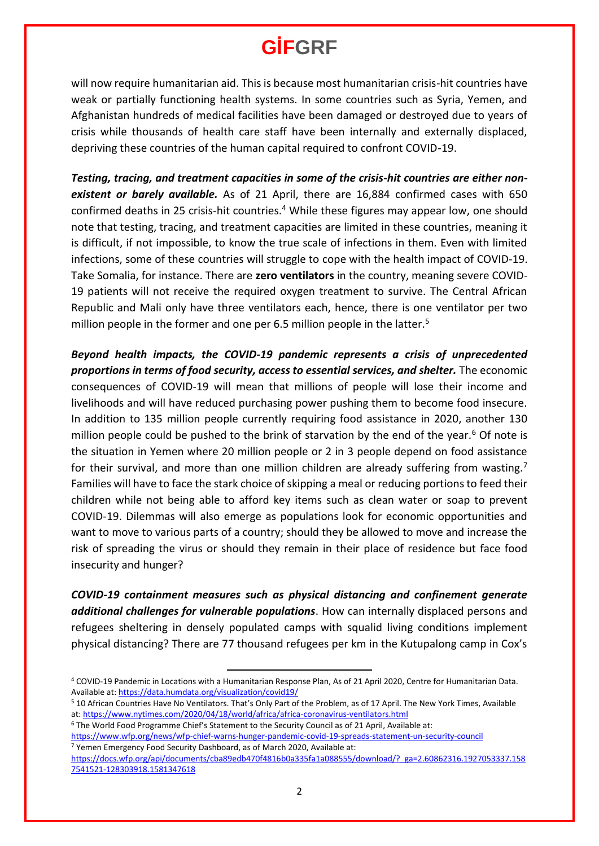will now require humanitarian aid. This is because most humanitarian crisis-hit countries have weak or partially functioning health systems. In some countries such as Syria, Yemen, and Afghanistan hundreds of medical facilities have been damaged or destroyed due to years of crisis while thousands of health care staff have been internally and externally displaced, depriving these countries of the human capital required to confront COVID-19.

*Testing, tracing, and treatment capacities in some of the crisis-hit countries are either nonexistent or barely available.* As of 21 April, there are 16,884 confirmed cases with 650 confirmed deaths in 25 crisis-hit countries.<sup>4</sup> While these figures may appear low, one should note that testing, tracing, and treatment capacities are limited in these countries, meaning it is difficult, if not impossible, to know the true scale of infections in them. Even with limited infections, some of these countries will struggle to cope with the health impact of COVID-19. Take Somalia, for instance. There are **zero ventilators** in the country, meaning severe COVID-19 patients will not receive the required oxygen treatment to survive. The Central African Republic and Mali only have three ventilators each, hence, there is one ventilator per two million people in the former and one per 6.5 million people in the latter.<sup>5</sup>

*Beyond health impacts, the COVID-19 pandemic represents a crisis of unprecedented proportions in terms of food security, access to essential services, and shelter.* The economic consequences of COVID-19 will mean that millions of people will lose their income and livelihoods and will have reduced purchasing power pushing them to become food insecure. In addition to 135 million people currently requiring food assistance in 2020, another 130 million people could be pushed to the brink of starvation by the end of the year.<sup>6</sup> Of note is the situation in Yemen where 20 million people or 2 in 3 people depend on food assistance for their survival, and more than one million children are already suffering from wasting.<sup>7</sup> Families will have to face the stark choice of skipping a meal or reducing portions to feed their children while not being able to afford key items such as clean water or soap to prevent COVID-19. Dilemmas will also emerge as populations look for economic opportunities and want to move to various parts of a country; should they be allowed to move and increase the risk of spreading the virus or should they remain in their place of residence but face food insecurity and hunger?

*COVID-19 containment measures such as physical distancing and confinement generate additional challenges for vulnerable populations*. How can internally displaced persons and refugees sheltering in densely populated camps with squalid living conditions implement physical distancing? There are 77 thousand refugees per km in the Kutupalong camp in Cox's

<sup>6</sup> The World Food Programme Chief's Statement to the Security Council as of 21 April, Available at:

<sup>4</sup> COVID-19 Pandemic in Locations with a Humanitarian Response Plan, As of 21 April 2020, Centre for Humanitarian Data. Available at:<https://data.humdata.org/visualization/covid19/>

<sup>5</sup> 10 African Countries Have No Ventilators. That's Only Part of the Problem, as of 17 April. The New York Times, Available at[: https://www.nytimes.com/2020/04/18/world/africa/africa-coronavirus-ventilators.html](https://www.nytimes.com/2020/04/18/world/africa/africa-coronavirus-ventilators.html)

<https://www.wfp.org/news/wfp-chief-warns-hunger-pandemic-covid-19-spreads-statement-un-security-council> <sup>7</sup> Yemen Emergency Food Security Dashboard, as of March 2020, Available at:

[https://docs.wfp.org/api/documents/cba89edb470f4816b0a335fa1a088555/download/?\\_ga=2.60862316.1927053337.158](https://docs.wfp.org/api/documents/cba89edb470f4816b0a335fa1a088555/download/?_ga=2.60862316.1927053337.1587541521-128303918.1581347618) [7541521-128303918.1581347618](https://docs.wfp.org/api/documents/cba89edb470f4816b0a335fa1a088555/download/?_ga=2.60862316.1927053337.1587541521-128303918.1581347618)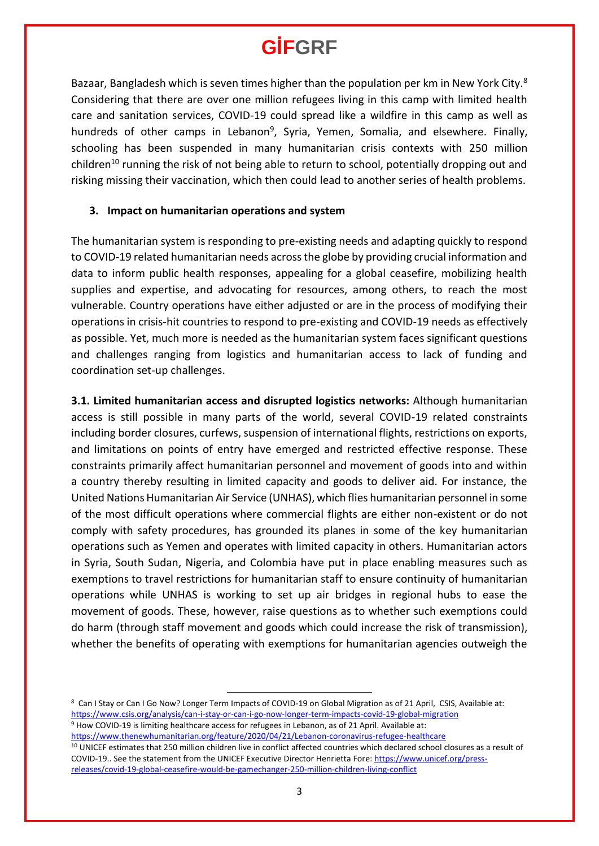Bazaar, Bangladesh which is seven times higher than the population per km in New York City.<sup>8</sup> Considering that there are over one million refugees living in this camp with limited health care and sanitation services, COVID-19 could spread like a wildfire in this camp as well as hundreds of other camps in Lebanon<sup>9</sup>, Syria, Yemen, Somalia, and elsewhere. Finally, schooling has been suspended in many humanitarian crisis contexts with 250 million children<sup>10</sup> running the risk of not being able to return to school, potentially dropping out and risking missing their vaccination, which then could lead to another series of health problems.

### **3. Impact on humanitarian operations and system**

The humanitarian system is responding to pre-existing needs and adapting quickly to respond to COVID-19 related humanitarian needs across the globe by providing crucial information and data to inform public health responses, appealing for a global ceasefire, mobilizing health supplies and expertise, and advocating for resources, among others, to reach the most vulnerable. Country operations have either adjusted or are in the process of modifying their operations in crisis-hit countries to respond to pre-existing and COVID-19 needs as effectively as possible. Yet, much more is needed as the humanitarian system faces significant questions and challenges ranging from logistics and humanitarian access to lack of funding and coordination set-up challenges.

**3.1. Limited humanitarian access and disrupted logistics networks:** Although humanitarian access is still possible in many parts of the world, several COVID-19 related constraints including border closures, curfews, suspension of international flights, restrictions on exports, and limitations on points of entry have emerged and restricted effective response. These constraints primarily affect humanitarian personnel and movement of goods into and within a country thereby resulting in limited capacity and goods to deliver aid. For instance, the United Nations Humanitarian Air Service (UNHAS), which flies humanitarian personnel in some of the most difficult operations where commercial flights are either non-existent or do not comply with safety procedures, has grounded its planes in some of the key humanitarian operations such as Yemen and operates with limited capacity in others. Humanitarian actors in Syria, South Sudan, Nigeria, and Colombia have put in place enabling measures such as exemptions to travel restrictions for humanitarian staff to ensure continuity of humanitarian operations while UNHAS is working to set up air bridges in regional hubs to ease the movement of goods. These, however, raise questions as to whether such exemptions could do harm (through staff movement and goods which could increase the risk of transmission), whether the benefits of operating with exemptions for humanitarian agencies outweigh the

8 Can I Stay or Can I Go Now? Longer Term Impacts of COVID-19 on Global Migration as of 21 April, CSIS, Available at: <https://www.csis.org/analysis/can-i-stay-or-can-i-go-now-longer-term-impacts-covid-19-global-migration> <sup>9</sup> How COVID-19 is limiting healthcare access for refugees in Lebanon, as of 21 April. Available at: <https://www.thenewhumanitarian.org/feature/2020/04/21/Lebanon-coronavirus-refugee-healthcare> <sup>10</sup> UNICEF estimates that 250 million children live in conflict affected countries which declared school closures as a result of COVID-19.. See the statement from the UNICEF Executive Director Henrietta Fore[: https://www.unicef.org/press](https://www.unicef.org/press-releases/covid-19-global-ceasefire-would-be-gamechanger-250-million-children-living-conflict)[releases/covid-19-global-ceasefire-would-be-gamechanger-250-million-children-living-conflict](https://www.unicef.org/press-releases/covid-19-global-ceasefire-would-be-gamechanger-250-million-children-living-conflict)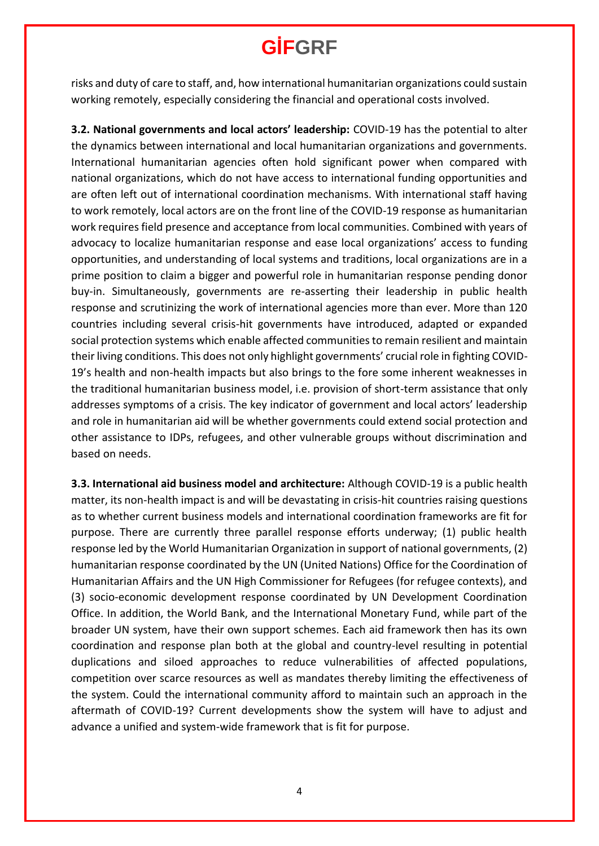risks and duty of care to staff, and, how international humanitarian organizations could sustain working remotely, especially considering the financial and operational costs involved.

**3.2. National governments and local actors' leadership:** COVID-19 has the potential to alter the dynamics between international and local humanitarian organizations and governments. International humanitarian agencies often hold significant power when compared with national organizations, which do not have access to international funding opportunities and are often left out of international coordination mechanisms. With international staff having to work remotely, local actors are on the front line of the COVID-19 response as humanitarian work requires field presence and acceptance from local communities. Combined with years of advocacy to localize humanitarian response and ease local organizations' access to funding opportunities, and understanding of local systems and traditions, local organizations are in a prime position to claim a bigger and powerful role in humanitarian response pending donor buy-in. Simultaneously, governments are re-asserting their leadership in public health response and scrutinizing the work of international agencies more than ever. More than 120 countries including several crisis-hit governments have introduced, adapted or expanded social protection systems which enable affected communities to remain resilient and maintain their living conditions. This does not only highlight governments' crucial role in fighting COVID-19's health and non-health impacts but also brings to the fore some inherent weaknesses in the traditional humanitarian business model, i.e. provision of short-term assistance that only addresses symptoms of a crisis. The key indicator of government and local actors' leadership and role in humanitarian aid will be whether governments could extend social protection and other assistance to IDPs, refugees, and other vulnerable groups without discrimination and based on needs.

**3.3. International aid business model and architecture:** Although COVID-19 is a public health matter, its non-health impact is and will be devastating in crisis-hit countries raising questions as to whether current business models and international coordination frameworks are fit for purpose. There are currently three parallel response efforts underway; (1) public health response led by the World Humanitarian Organization in support of national governments, (2) humanitarian response coordinated by the UN (United Nations) Office for the Coordination of Humanitarian Affairs and the UN High Commissioner for Refugees (for refugee contexts), and (3) socio-economic development response coordinated by UN Development Coordination Office. In addition, the World Bank, and the International Monetary Fund, while part of the broader UN system, have their own support schemes. Each aid framework then has its own coordination and response plan both at the global and country-level resulting in potential duplications and siloed approaches to reduce vulnerabilities of affected populations, competition over scarce resources as well as mandates thereby limiting the effectiveness of the system. Could the international community afford to maintain such an approach in the aftermath of COVID-19? Current developments show the system will have to adjust and advance a unified and system-wide framework that is fit for purpose.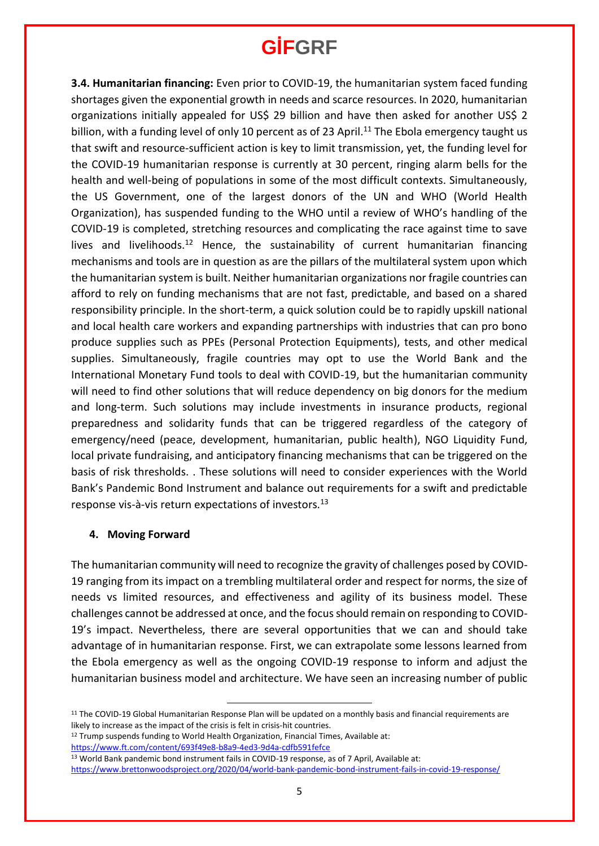**3.4. Humanitarian financing:** Even prior to COVID-19, the humanitarian system faced funding shortages given the exponential growth in needs and scarce resources. In 2020, humanitarian organizations initially appealed for US\$ 29 billion and have then asked for another US\$ 2 billion, with a funding level of only 10 percent as of 23 April.<sup>11</sup> The Ebola emergency taught us that swift and resource-sufficient action is key to limit transmission, yet, the funding level for the COVID-19 humanitarian response is currently at 30 percent, ringing alarm bells for the health and well-being of populations in some of the most difficult contexts. Simultaneously, the US Government, one of the largest donors of the UN and WHO (World Health Organization), has suspended funding to the WHO until a review of WHO's handling of the COVID-19 is completed, stretching resources and complicating the race against time to save lives and livelihoods.<sup>12</sup> Hence, the sustainability of current humanitarian financing mechanisms and tools are in question as are the pillars of the multilateral system upon which the humanitarian system is built. Neither humanitarian organizations nor fragile countries can afford to rely on funding mechanisms that are not fast, predictable, and based on a shared responsibility principle. In the short-term, a quick solution could be to rapidly upskill national and local health care workers and expanding partnerships with industries that can pro bono produce supplies such as PPEs (Personal Protection Equipments), tests, and other medical supplies. Simultaneously, fragile countries may opt to use the World Bank and the International Monetary Fund tools to deal with COVID-19, but the humanitarian community will need to find other solutions that will reduce dependency on big donors for the medium and long-term. Such solutions may include investments in insurance products, regional preparedness and solidarity funds that can be triggered regardless of the category of emergency/need (peace, development, humanitarian, public health), NGO Liquidity Fund, local private fundraising, and anticipatory financing mechanisms that can be triggered on the basis of risk thresholds. . These solutions will need to consider experiences with the World Bank's Pandemic Bond Instrument and balance out requirements for a swift and predictable response vis-à-vis return expectations of investors.<sup>13</sup>

#### **4. Moving Forward**

The humanitarian community will need to recognize the gravity of challenges posed by COVID-19 ranging from its impact on a trembling multilateral order and respect for norms, the size of needs vs limited resources, and effectiveness and agility of its business model. These challenges cannot be addressed at once, and the focus should remain on responding to COVID-19's impact. Nevertheless, there are several opportunities that we can and should take advantage of in humanitarian response. First, we can extrapolate some lessons learned from the Ebola emergency as well as the ongoing COVID-19 response to inform and adjust the humanitarian business model and architecture. We have seen an increasing number of public

<https://www.ft.com/content/693f49e8-b8a9-4ed3-9d4a-cdfb591fefce>

<sup>11</sup> The COVID-19 Global Humanitarian Response Plan will be updated on a monthly basis and financial requirements are likely to increase as the impact of the crisis is felt in crisis-hit countries.

<sup>&</sup>lt;sup>12</sup> Trump suspends funding to World Health Organization, Financial Times, Available at:

<sup>13</sup> World Bank pandemic bond instrument fails in COVID-19 response, as of 7 April, Available at: <https://www.brettonwoodsproject.org/2020/04/world-bank-pandemic-bond-instrument-fails-in-covid-19-response/>